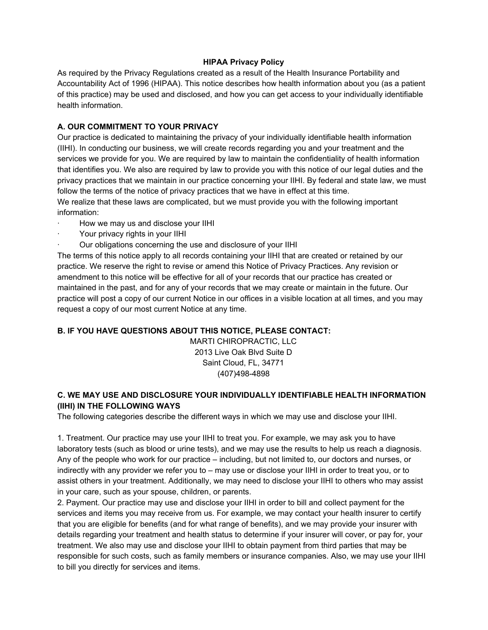#### **HIPAA Privacy Policy**

As required by the Privacy Regulations created as a result of the Health Insurance Portability and Accountability Act of 1996 (HIPAA). This notice describes how health information about you (as a patient of this practice) may be used and disclosed, and how you can get access to your individually identifiable health information.

## **A. OUR COMMITMENT TO YOUR PRIVACY**

Our practice is dedicated to maintaining the privacy of your individually identifiable health information (IIHI). In conducting our business, we will create records regarding you and your treatment and the services we provide for you. We are required by law to maintain the confidentiality of health information that identifies you. We also are required by law to provide you with this notice of our legal duties and the privacy practices that we maintain in our practice concerning your IIHI. By federal and state law, we must follow the terms of the notice of privacy practices that we have in effect at this time.

We realize that these laws are complicated, but we must provide you with the following important information:

- · How we may us and disclose your IIHI
- Your privacy rights in your IIHI
- · Our obligations concerning the use and disclosure of your IIHI

The terms of this notice apply to all records containing your IIHI that are created or retained by our practice. We reserve the right to revise or amend this Notice of Privacy Practices. Any revision or amendment to this notice will be effective for all of your records that our practice has created or maintained in the past, and for any of your records that we may create or maintain in the future. Our practice will post a copy of our current Notice in our offices in a visible location at all times, and you may request a copy of our most current Notice at any time.

## **B. IF YOU HAVE QUESTIONS ABOUT THIS NOTICE, PLEASE CONTACT:**

MARTI CHIROPRACTIC, LLC 2013 Live Oak Blvd Suite D Saint Cloud, FL, 34771 (407)498-4898

## **C. WE MAY USE AND DISCLOSURE YOUR INDIVIDUALLY IDENTIFIABLE HEALTH INFORMATION (IIHI) IN THE FOLLOWING WAYS**

The following categories describe the different ways in which we may use and disclose your IIHI.

1. Treatment. Our practice may use your IIHI to treat you. For example, we may ask you to have laboratory tests (such as blood or urine tests), and we may use the results to help us reach a diagnosis. Any of the people who work for our practice – including, but not limited to, our doctors and nurses, or indirectly with any provider we refer you to – may use or disclose your IIHI in order to treat you, or to assist others in your treatment. Additionally, we may need to disclose your IIHI to others who may assist in your care, such as your spouse, children, or parents.

2. Payment. Our practice may use and disclose your IIHI in order to bill and collect payment for the services and items you may receive from us. For example, we may contact your health insurer to certify that you are eligible for benefits (and for what range of benefits), and we may provide your insurer with details regarding your treatment and health status to determine if your insurer will cover, or pay for, your treatment. We also may use and disclose your IIHI to obtain payment from third parties that may be responsible for such costs, such as family members or insurance companies. Also, we may use your IIHI to bill you directly for services and items.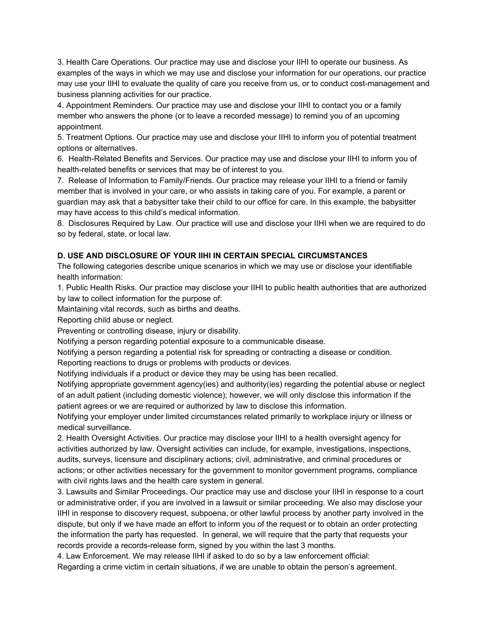3. Health Care Operations. Our practice may use and disclose your IIHI to operate our business. As examples of the ways in which we may use and disclose your information for our operations, our practice may use your IIHI to evaluate the quality of care you receive from us, or to conduct cost-management and business planning activities for our practice.

4. Appointment Reminders. Our practice may use and disclose your IIHI to contact you or a family member who answers the phone (or to leave a recorded message) to remind you of an upcoming appointment.

5. Treatment Options. Our practice may use and disclose your IIHI to inform you of potential treatment options or alternatives.

6. Health-Related Benefits and Services. Our practice may use and disclose your IIHI to inform you of health-related benefits or services that may be of interest to you.

7. Release of Information to Family/Friends. Our practice may release your IIHI to a friend or family member that is involved in your care, or who assists in taking care of you. For example, a parent or guardian may ask that a babysitter take their child to our office for care. In this example, the babysitter may have access to this child's medical information.

8. Disclosures Required by Law. Our practice will use and disclose your IIHI when we are required to do so by federal, state, or local law.

# **D. USE AND DISCLOSURE OF YOUR IIHI IN CERTAIN SPECIAL CIRCUMSTANCES**

The following categories describe unique scenarios in which we may use or disclose your identifiable health information:

1. Public Health Risks. Our practice may disclose your IIHI to public health authorities that are authorized by law to collect information for the purpose of:

Maintaining vital records, such as births and deaths.

Reporting child abuse or neglect.

Preventing or controlling disease, injury or disability.

Notifying a person regarding potential exposure to a communicable disease.

Notifying a person regarding a potential risk for spreading or contracting a disease or condition.

Reporting reactions to drugs or problems with products or devices.

Notifying individuals if a product or device they may be using has been recalled.

Notifying appropriate government agency(ies) and authority(ies) regarding the potential abuse or neglect of an adult patient (including domestic violence); however, we will only disclose this information if the patient agrees or we are required or authorized by law to disclose this information.

Notifying your employer under limited circumstances related primarily to workplace injury or illness or medical surveillance.

2. Health Oversight Activities. Our practice may disclose your IIHI to a health oversight agency for activities authorized by law. Oversight activities can include, for example, investigations, inspections, audits, surveys, licensure and disciplinary actions; civil, administrative, and criminal procedures or actions; or other activities necessary for the government to monitor government programs, compliance with civil rights laws and the health care system in general.

3. Lawsuits and Similar Proceedings. Our practice may use and disclose your IIHI in response to a court or administrative order, if you are involved in a lawsuit or similar proceeding. We also may disclose your IIHI in response to discovery request, subpoena, or other lawful process by another party involved in the dispute, but only if we have made an effort to inform you of the request or to obtain an order protecting the information the party has requested. In general, we will require that the party that requests your records provide a records-release form, signed by you within the last 3 months.

4. Law Enforcement. We may release IIHI if asked to do so by a law enforcement official: Regarding a crime victim in certain situations, if we are unable to obtain the person's agreement.